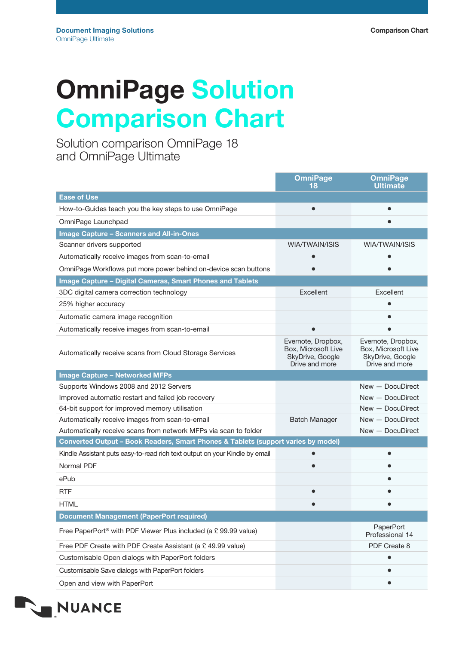## OmniPage Solution Comparison Chart

Solution comparison OmniPage 18 and OmniPage Ultimate

|                                                                                   | <b>OmniPage</b><br>18                                                           | <b>OmniPage</b><br><b>Ultimate</b>                                              |
|-----------------------------------------------------------------------------------|---------------------------------------------------------------------------------|---------------------------------------------------------------------------------|
| <b>Ease of Use</b>                                                                |                                                                                 |                                                                                 |
| How-to-Guides teach you the key steps to use OmniPage                             |                                                                                 |                                                                                 |
| OmniPage Launchpad                                                                |                                                                                 |                                                                                 |
| <b>Image Capture - Scanners and All-in-Ones</b>                                   |                                                                                 |                                                                                 |
| Scanner drivers supported                                                         | WIA/TWAIN/ISIS                                                                  | WIA/TWAIN/ISIS                                                                  |
| Automatically receive images from scan-to-email                                   |                                                                                 |                                                                                 |
| OmniPage Workflows put more power behind on-device scan buttons                   |                                                                                 |                                                                                 |
| <b>Image Capture - Digital Cameras, Smart Phones and Tablets</b>                  |                                                                                 |                                                                                 |
| 3DC digital camera correction technology                                          | Excellent                                                                       | Excellent                                                                       |
| 25% higher accuracy                                                               |                                                                                 |                                                                                 |
| Automatic camera image recognition                                                |                                                                                 |                                                                                 |
| Automatically receive images from scan-to-email                                   |                                                                                 |                                                                                 |
| Automatically receive scans from Cloud Storage Services                           | Evernote, Dropbox,<br>Box, Microsoft Live<br>SkyDrive, Google<br>Drive and more | Evernote, Dropbox,<br>Box, Microsoft Live<br>SkyDrive, Google<br>Drive and more |
| <b>Image Capture - Networked MFPs</b>                                             |                                                                                 |                                                                                 |
| Supports Windows 2008 and 2012 Servers                                            |                                                                                 | $New - Document$                                                                |
| Improved automatic restart and failed job recovery                                |                                                                                 | $New - Document$                                                                |
| 64-bit support for improved memory utilisation                                    |                                                                                 | $New - Document$                                                                |
| Automatically receive images from scan-to-email                                   | <b>Batch Manager</b>                                                            | $New - Document$                                                                |
| Automatically receive scans from network MFPs via scan to folder                  |                                                                                 | New - DocuDirect                                                                |
| Converted Output - Book Readers, Smart Phones & Tablets (support varies by model) |                                                                                 |                                                                                 |
| Kindle Assistant puts easy-to-read rich text output on your Kindle by email       |                                                                                 |                                                                                 |
| Normal PDF                                                                        |                                                                                 |                                                                                 |
| ePub                                                                              |                                                                                 |                                                                                 |
| <b>RTF</b>                                                                        |                                                                                 |                                                                                 |
| <b>HTML</b>                                                                       |                                                                                 |                                                                                 |
| <b>Document Management (PaperPort required)</b>                                   |                                                                                 |                                                                                 |
| Free PaperPort <sup>®</sup> with PDF Viewer Plus included (a £ 99.99 value)       |                                                                                 | PaperPort<br>Professional 14                                                    |
| Free PDF Create with PDF Create Assistant (a £49.99 value)                        |                                                                                 | PDF Create 8                                                                    |
| Customisable Open dialogs with PaperPort folders                                  |                                                                                 | $\bullet$                                                                       |
| Customisable Save dialogs with PaperPort folders                                  |                                                                                 |                                                                                 |
| Open and view with PaperPort                                                      |                                                                                 |                                                                                 |

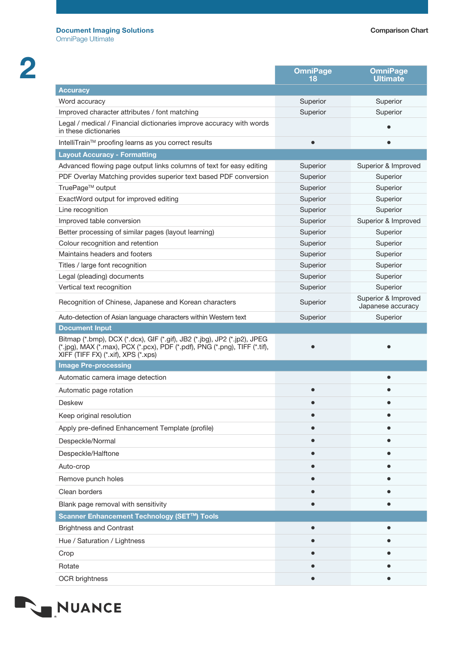2

|                                                                                                                                                                                               | <b>OmniPage</b><br>18 | <b>OmniPage</b><br><b>Ultimate</b>       |
|-----------------------------------------------------------------------------------------------------------------------------------------------------------------------------------------------|-----------------------|------------------------------------------|
| <b>Accuracy</b>                                                                                                                                                                               |                       |                                          |
| Word accuracy                                                                                                                                                                                 | Superior              | Superior                                 |
| Improved character attributes / font matching                                                                                                                                                 | Superior              | Superior                                 |
| Legal / medical / Financial dictionaries improve accuracy with words<br>in these dictionaries                                                                                                 |                       |                                          |
| IntelliTrain™ proofing learns as you correct results                                                                                                                                          | $\bullet$             |                                          |
| <b>Layout Accuracy - Formatting</b>                                                                                                                                                           |                       |                                          |
| Advanced flowing page output links columns of text for easy editing                                                                                                                           | Superior              | Superior & Improved                      |
| PDF Overlay Matching provides superior text based PDF conversion                                                                                                                              | Superior              | Superior                                 |
| TruePage™ output                                                                                                                                                                              | Superior              | Superior                                 |
| ExactWord output for improved editing                                                                                                                                                         | Superior              | Superior                                 |
| Line recognition                                                                                                                                                                              | Superior              | Superior                                 |
| Improved table conversion                                                                                                                                                                     | Superior              | Superior & Improved                      |
| Better processing of similar pages (layout learning)                                                                                                                                          | Superior              | Superior                                 |
| Colour recognition and retention                                                                                                                                                              | Superior              | Superior                                 |
| Maintains headers and footers                                                                                                                                                                 | Superior              | Superior                                 |
| Titles / large font recognition                                                                                                                                                               | Superior              | Superior                                 |
| Legal (pleading) documents                                                                                                                                                                    | Superior              | Superior                                 |
| Vertical text recognition                                                                                                                                                                     | Superior              | Superior                                 |
| Recognition of Chinese, Japanese and Korean characters                                                                                                                                        | Superior              | Superior & Improved<br>Japanese accuracy |
| Auto-detection of Asian language characters within Western text                                                                                                                               | Superior              | Superior                                 |
| <b>Document Input</b>                                                                                                                                                                         |                       |                                          |
| Bitmap (*.bmp), DCX (*.dcx), GIF (*.gif), JB2 (*.jbg), JP2 (*.jp2), JPEG<br>(*.jpg), MAX (*.max), PCX (*.pcx), PDF (*.pdf), PNG (*.png), TIFF (*.tif),<br>XIFF (TIFF FX) (*.xif), XPS (*.xps) |                       |                                          |
| <b>Image Pre-processing</b>                                                                                                                                                                   |                       |                                          |
| Automatic camera image detection                                                                                                                                                              |                       | $\bullet$                                |
| Automatic page rotation                                                                                                                                                                       | $\bullet$             |                                          |
| <b>Deskew</b>                                                                                                                                                                                 |                       |                                          |
| Keep original resolution                                                                                                                                                                      |                       |                                          |
| Apply pre-defined Enhancement Template (profile)                                                                                                                                              |                       |                                          |
| Despeckle/Normal                                                                                                                                                                              |                       |                                          |
| Despeckle/Halftone                                                                                                                                                                            |                       |                                          |
| Auto-crop                                                                                                                                                                                     |                       |                                          |
| Remove punch holes                                                                                                                                                                            |                       |                                          |
| Clean borders                                                                                                                                                                                 |                       |                                          |
| Blank page removal with sensitivity                                                                                                                                                           |                       |                                          |
| Scanner Enhancement Technology (SET™) Tools                                                                                                                                                   |                       |                                          |
| <b>Brightness and Contrast</b>                                                                                                                                                                |                       |                                          |
| Hue / Saturation / Lightness                                                                                                                                                                  |                       |                                          |
| Crop                                                                                                                                                                                          |                       |                                          |
| Rotate                                                                                                                                                                                        |                       |                                          |
| <b>OCR</b> brightness                                                                                                                                                                         |                       |                                          |

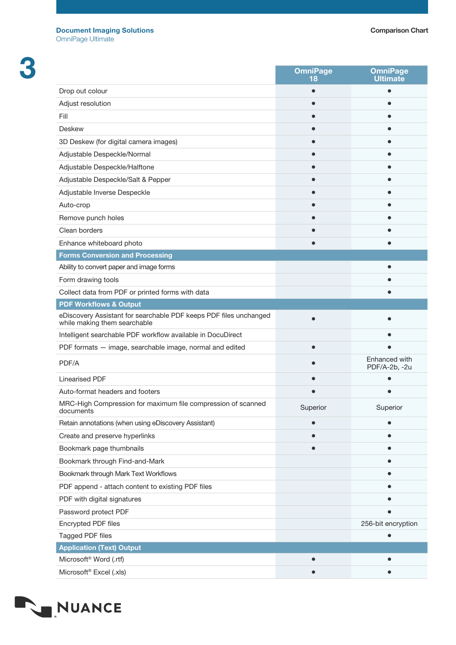3

|                                                                                                   | <b>OmniPage</b><br>18 | <b>OmniPage</b><br><b>Ultimate</b> |
|---------------------------------------------------------------------------------------------------|-----------------------|------------------------------------|
| Drop out colour                                                                                   |                       |                                    |
| Adjust resolution                                                                                 |                       |                                    |
| Fill                                                                                              |                       |                                    |
| <b>Deskew</b>                                                                                     |                       |                                    |
| 3D Deskew (for digital camera images)                                                             |                       |                                    |
| Adjustable Despeckle/Normal                                                                       |                       |                                    |
| Adjustable Despeckle/Halftone                                                                     |                       |                                    |
| Adjustable Despeckle/Salt & Pepper                                                                |                       |                                    |
| Adjustable Inverse Despeckle                                                                      |                       |                                    |
| Auto-crop                                                                                         |                       |                                    |
| Remove punch holes                                                                                |                       |                                    |
| Clean borders                                                                                     |                       |                                    |
| Enhance whiteboard photo                                                                          |                       |                                    |
| <b>Forms Conversion and Processing</b>                                                            |                       |                                    |
| Ability to convert paper and image forms                                                          |                       |                                    |
| Form drawing tools                                                                                |                       |                                    |
| Collect data from PDF or printed forms with data                                                  |                       |                                    |
| <b>PDF Workflows &amp; Output</b>                                                                 |                       |                                    |
| eDiscovery Assistant for searchable PDF keeps PDF files unchanged<br>while making them searchable |                       |                                    |
| Intelligent searchable PDF workflow available in DocuDirect                                       |                       |                                    |
| PDF formats - image, searchable image, normal and edited                                          |                       |                                    |
| PDF/A                                                                                             |                       | Enhanced with<br>PDF/A-2b, -2u     |
| <b>Linearised PDF</b>                                                                             |                       |                                    |
| Auto-format headers and footers                                                                   |                       |                                    |
| MRC-High Compression for maximum file compression of scanned<br>documents                         | Superior              | Superior                           |
| Retain annotations (when using eDiscovery Assistant)                                              |                       |                                    |
| Create and preserve hyperlinks                                                                    |                       |                                    |
| Bookmark page thumbnails                                                                          |                       |                                    |
| Bookmark through Find-and-Mark                                                                    |                       |                                    |
| Bookmark through Mark Text Workflows                                                              |                       |                                    |
| PDF append - attach content to existing PDF files                                                 |                       |                                    |
| PDF with digital signatures                                                                       |                       |                                    |
| Password protect PDF                                                                              |                       |                                    |
| Encrypted PDF files                                                                               |                       | 256-bit encryption                 |
| Tagged PDF files                                                                                  |                       |                                    |
| <b>Application (Text) Output</b>                                                                  |                       |                                    |
| Microsoft <sup>®</sup> Word (.rtf)                                                                |                       |                                    |
| Microsoft <sup>®</sup> Excel (.xls)                                                               |                       | $\bullet$                          |

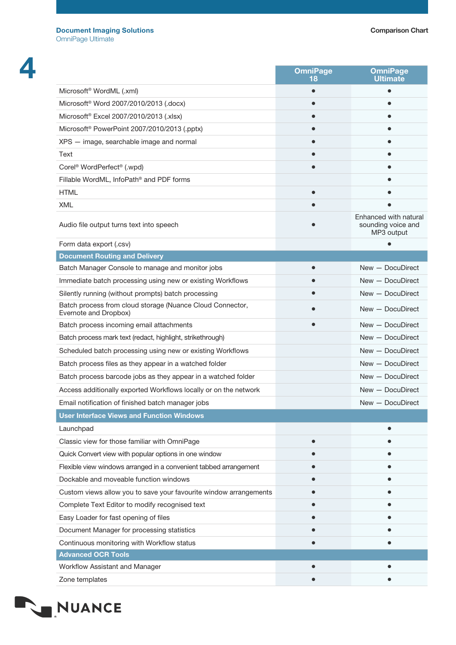|                                                                                    | <b>OmniPage</b><br>18 | <b>OmniPage</b><br><b>Ultimate</b>                        |
|------------------------------------------------------------------------------------|-----------------------|-----------------------------------------------------------|
| Microsoft <sup>®</sup> WordML (.xml)                                               |                       |                                                           |
| Microsoft <sup>®</sup> Word 2007/2010/2013 (.docx)                                 |                       |                                                           |
| Microsoft <sup>®</sup> Excel 2007/2010/2013 (.xlsx)                                |                       |                                                           |
| Microsoft <sup>®</sup> PowerPoint 2007/2010/2013 (.pptx)                           |                       |                                                           |
| XPS - image, searchable image and normal                                           |                       |                                                           |
| Text                                                                               |                       |                                                           |
| Corel <sup>®</sup> WordPerfect <sup>®</sup> (.wpd)                                 |                       |                                                           |
| Fillable WordML, InfoPath <sup>®</sup> and PDF forms                               |                       |                                                           |
| <b>HTML</b>                                                                        |                       |                                                           |
| XML                                                                                |                       |                                                           |
| Audio file output turns text into speech                                           |                       | Enhanced with natural<br>sounding voice and<br>MP3 output |
| Form data export (.csv)                                                            |                       |                                                           |
| <b>Document Routing and Delivery</b>                                               |                       |                                                           |
| Batch Manager Console to manage and monitor jobs                                   |                       | $New - Document$                                          |
| Immediate batch processing using new or existing Workflows                         |                       | New - DocuDirect                                          |
| Silently running (without prompts) batch processing                                |                       | $New - Document$                                          |
| Batch process from cloud storage (Nuance Cloud Connector,<br>Evernote and Dropbox) |                       | $New - Document$                                          |
| Batch process incoming email attachments                                           |                       | New - DocuDirect                                          |
| Batch process mark text (redact, highlight, strikethrough)                         |                       | $New - Document$                                          |
| Scheduled batch processing using new or existing Workflows                         |                       | $New - Document$                                          |
| Batch process files as they appear in a watched folder                             |                       | New - DocuDirect                                          |
| Batch process barcode jobs as they appear in a watched folder                      |                       | $New - Document$                                          |
| Access additionally exported Workflows locally or on the network                   |                       | New - DocuDirect                                          |
| Email notification of finished batch manager jobs                                  |                       | New - DocuDirect                                          |
| <b>User Interface Views and Function Windows</b>                                   |                       |                                                           |
| Launchpad                                                                          |                       |                                                           |
| Classic view for those familiar with OmniPage                                      |                       |                                                           |
| Quick Convert view with popular options in one window                              |                       |                                                           |
| Flexible view windows arranged in a convenient tabbed arrangement                  |                       |                                                           |
| Dockable and moveable function windows                                             |                       |                                                           |
| Custom views allow you to save your favourite window arrangements                  |                       |                                                           |
| Complete Text Editor to modify recognised text                                     |                       |                                                           |
| Easy Loader for fast opening of files                                              |                       |                                                           |
| Document Manager for processing statistics                                         |                       |                                                           |
| Continuous monitoring with Workflow status                                         |                       |                                                           |
| <b>Advanced OCR Tools</b>                                                          |                       |                                                           |
| Workflow Assistant and Manager                                                     |                       |                                                           |
| Zone templates                                                                     |                       |                                                           |

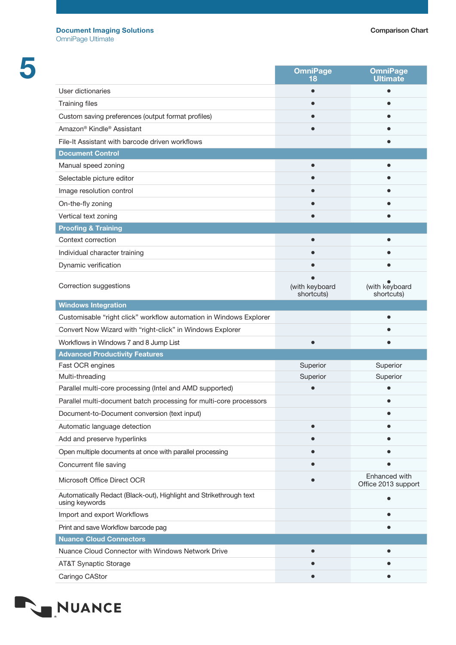|                                                                                      | <b>OmniPage</b><br>18        | <b>OmniPage</b><br><b>Ultimate</b>   |
|--------------------------------------------------------------------------------------|------------------------------|--------------------------------------|
| User dictionaries                                                                    |                              |                                      |
| <b>Training files</b>                                                                |                              |                                      |
| Custom saving preferences (output format profiles)                                   |                              |                                      |
| Amazon <sup>®</sup> Kindle <sup>®</sup> Assistant                                    |                              |                                      |
| File-It Assistant with barcode driven workflows                                      |                              |                                      |
| <b>Document Control</b>                                                              |                              |                                      |
| Manual speed zoning                                                                  |                              |                                      |
| Selectable picture editor                                                            |                              |                                      |
| Image resolution control                                                             |                              |                                      |
| On-the-fly zoning                                                                    |                              |                                      |
| Vertical text zoning                                                                 |                              |                                      |
| <b>Proofing &amp; Training</b>                                                       |                              |                                      |
| Context correction                                                                   |                              |                                      |
| Individual character training                                                        |                              |                                      |
| Dynamic verification                                                                 |                              |                                      |
| Correction suggestions                                                               | (with keyboard<br>shortcuts) | (with keyboard<br>shortcuts)         |
| <b>Windows Integration</b>                                                           |                              |                                      |
| Customisable "right click" workflow automation in Windows Explorer                   |                              |                                      |
| Convert Now Wizard with "right-click" in Windows Explorer                            |                              |                                      |
| Workflows in Windows 7 and 8 Jump List                                               |                              |                                      |
| <b>Advanced Productivity Features</b>                                                |                              |                                      |
| Fast OCR engines                                                                     | Superior                     | Superior                             |
| Multi-threading                                                                      | Superior                     | Superior                             |
| Parallel multi-core processing (Intel and AMD supported)                             |                              |                                      |
| Parallel multi-document batch processing for multi-core processors                   |                              |                                      |
| Document-to-Document conversion (text input)                                         |                              |                                      |
| Automatic language detection                                                         |                              |                                      |
| Add and preserve hyperlinks                                                          |                              |                                      |
| Open multiple documents at once with parallel processing                             |                              |                                      |
| Concurrent file saving                                                               |                              |                                      |
| Microsoft Office Direct OCR                                                          |                              | Enhanced with<br>Office 2013 support |
| Automatically Redact (Black-out), Highlight and Strikethrough text<br>using keywords |                              |                                      |
| Import and export Workflows                                                          |                              |                                      |
| Print and save Workflow barcode pag                                                  |                              |                                      |
| <b>Nuance Cloud Connectors</b>                                                       |                              |                                      |
| Nuance Cloud Connector with Windows Network Drive                                    |                              |                                      |
| AT&T Synaptic Storage                                                                |                              |                                      |
| Caringo CAStor                                                                       |                              |                                      |